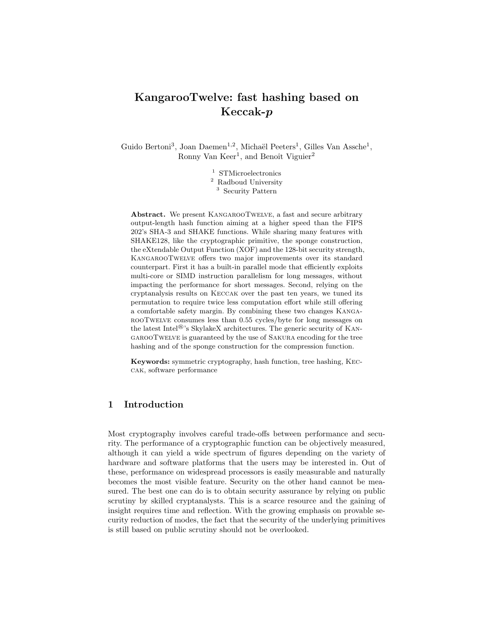# KangarooTwelve: fast hashing based on Keccak-p

Guido Bertoni<sup>3</sup>, Joan Daemen<sup>1,2</sup>, Michaël Peeters<sup>1</sup>, Gilles Van Assche<sup>1</sup>, Ronny Van Keer<sup>1</sup>, and Benoît Viguier<sup>2</sup>

- <sup>1</sup> STMicroelectronics
- <sup>2</sup> Radboud University
- <sup>3</sup> Security Pattern

Abstract. We present KangarooTwelve, a fast and secure arbitrary output-length hash function aiming at a higher speed than the FIPS 202's SHA-3 and SHAKE functions. While sharing many features with SHAKE128, like the cryptographic primitive, the sponge construction, the eXtendable Output Function (XOF) and the 128-bit security strength, KangarooTwelve offers two major improvements over its standard counterpart. First it has a built-in parallel mode that efficiently exploits multi-core or SIMD instruction parallelism for long messages, without impacting the performance for short messages. Second, relying on the cryptanalysis results on Keccak over the past ten years, we tuned its permutation to require twice less computation effort while still offering a comfortable safety margin. By combining these two changes KangarooTwelve consumes less than 0.55 cycles/byte for long messages on the latest Intel®'s SkylakeX architectures. The generic security of KangarooTwelve is guaranteed by the use of Sakura encoding for the tree hashing and of the sponge construction for the compression function.

Keywords: symmetric cryptography, hash function, tree hashing, Keccak, software performance

# 1 Introduction

Most cryptography involves careful trade-offs between performance and security. The performance of a cryptographic function can be objectively measured, although it can yield a wide spectrum of figures depending on the variety of hardware and software platforms that the users may be interested in. Out of these, performance on widespread processors is easily measurable and naturally becomes the most visible feature. Security on the other hand cannot be measured. The best one can do is to obtain security assurance by relying on public scrutiny by skilled cryptanalysts. This is a scarce resource and the gaining of insight requires time and reflection. With the growing emphasis on provable security reduction of modes, the fact that the security of the underlying primitives is still based on public scrutiny should not be overlooked.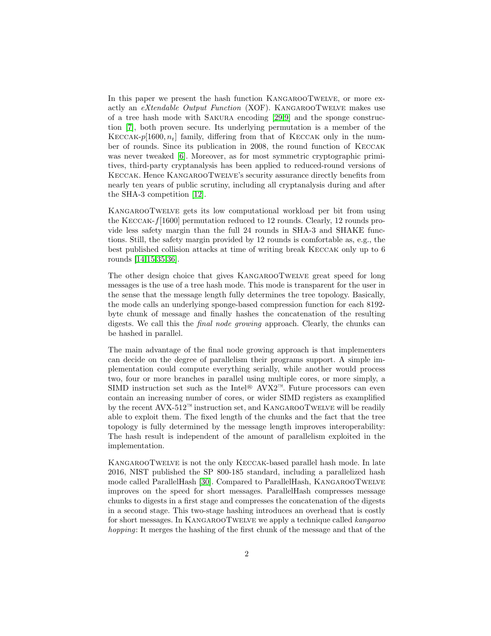In this paper we present the hash function KangarooTwelve, or more exactly an eXtendable Output Function (XOF). KANGAROOTWELVE makes use of a tree hash mode with Sakura encoding [\[29,](#page-18-0)[9\]](#page-17-0) and the sponge construction [\[7\]](#page-17-1), both proven secure. Its underlying permutation is a member of the KECCAK-p[1600,  $n_r$ ] family, differing from that of KECCAK only in the number of rounds. Since its publication in 2008, the round function of Keccak was never tweaked [\[6\]](#page-17-2). Moreover, as for most symmetric cryptographic primitives, third-party cryptanalysis has been applied to reduced-round versions of Keccak. Hence KangarooTwelve's security assurance directly benefits from nearly ten years of public scrutiny, including all cryptanalysis during and after the SHA-3 competition [\[12\]](#page-17-3).

KangarooTwelve gets its low computational workload per bit from using the Keccak-f[1600] permutation reduced to 12 rounds. Clearly, 12 rounds provide less safety margin than the full 24 rounds in SHA-3 and SHAKE functions. Still, the safety margin provided by 12 rounds is comfortable as, e.g., the best published collision attacks at time of writing break Keccak only up to 6 rounds [\[14](#page-17-4)[,15,](#page-18-1)[35](#page-19-0)[,36\]](#page-19-1).

The other design choice that gives KangarooTwelve great speed for long messages is the use of a tree hash mode. This mode is transparent for the user in the sense that the message length fully determines the tree topology. Basically, the mode calls an underlying sponge-based compression function for each 8192 byte chunk of message and finally hashes the concatenation of the resulting digests. We call this the final node growing approach. Clearly, the chunks can be hashed in parallel.

The main advantage of the final node growing approach is that implementers can decide on the degree of parallelism their programs support. A simple implementation could compute everything serially, while another would process two, four or more branches in parallel using multiple cores, or more simply, a SIMD instruction set such as the Intel<sup>®</sup> AVX2<sup>™</sup>. Future processors can even contain an increasing number of cores, or wider SIMD registers as examplified by the recent AVX-512<sup>™</sup> instruction set, and KANGAROOTWELVE will be readily able to exploit them. The fixed length of the chunks and the fact that the tree topology is fully determined by the message length improves interoperability: The hash result is independent of the amount of parallelism exploited in the implementation.

KangarooTwelve is not the only Keccak-based parallel hash mode. In late 2016, NIST published the SP 800-185 standard, including a parallelized hash mode called ParallelHash [\[30\]](#page-18-2). Compared to ParallelHash, KangarooTwelve improves on the speed for short messages. ParallelHash compresses message chunks to digests in a first stage and compresses the concatenation of the digests in a second stage. This two-stage hashing introduces an overhead that is costly for short messages. In KANGAROOTWELVE we apply a technique called kangaroo hopping: It merges the hashing of the first chunk of the message and that of the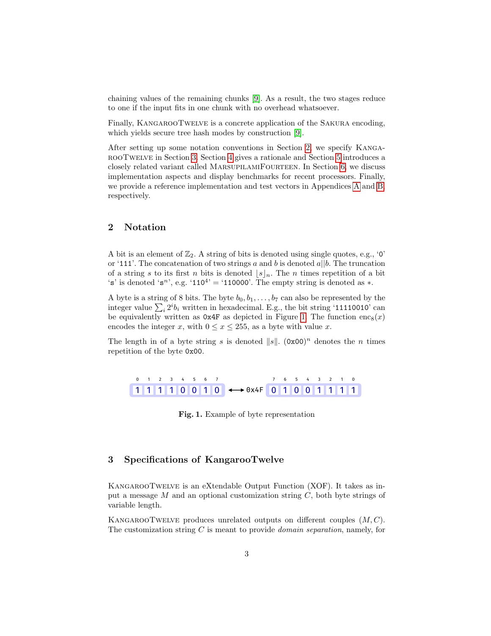chaining values of the remaining chunks [\[9\]](#page-17-0). As a result, the two stages reduce to one if the input fits in one chunk with no overhead whatsoever.

Finally, KANGAROOTWELVE is a concrete application of the SAKURA encoding, which yields secure tree hash modes by construction [\[9\]](#page-17-0).

After setting up some notation conventions in Section [2,](#page-2-0) we specify KangarooTwelve in Section [3.](#page-2-1) Section [4](#page-5-0) gives a rationale and Section [5](#page-9-0) introduces a closely related variant called MarsupilamiFourteen. In Section [6,](#page-10-0) we discuss implementation aspects and display benchmarks for recent processors. Finally, we provide a reference implementation and test vectors in Appendices [A](#page-20-0) and [B,](#page-22-0) respectively.

# <span id="page-2-0"></span>2 Notation

A bit is an element of  $\mathbb{Z}_2$ . A string of bits is denoted using single quotes, e.g., '0' or '111'. The concatenation of two strings a and b is denoted  $a||b$ . The truncation of a string s to its first n bits is denoted  $|s|_n$ . The n times repetition of a bit 's' is denoted 's<sup>n'</sup>, e.g. '110<sup>4'</sup> = '110000'. The empty string is denoted as  $*$ .

A byte is a string of 8 bits. The byte  $b_0, b_1, \ldots, b_7$  can also be represented by the integer value  $\sum_i 2^i b_i$  written in hexadecimal. E.g., the bit string '11110010' can be equivalently written as  $0x4F$  as depicted in Figure [1.](#page-2-2) The function enc<sub>8</sub>(x) encodes the integer x, with  $0 \le x \le 255$ , as a byte with value x.

The length in of a byte string s is denoted  $||s||$ .  $(0x00)^n$  denotes the n times repetition of the byte 0x00.

|  | 0 1 2 3 4 5 6 7 |  |  |                                            |  |  |  | 7 6 5 4 3 2 1 0 |  |
|--|-----------------|--|--|--------------------------------------------|--|--|--|-----------------|--|
|  |                 |  |  | $1111100110 \leftrightarrow 0x4F010011111$ |  |  |  |                 |  |

<span id="page-2-2"></span>Fig. 1. Example of byte representation

# <span id="page-2-1"></span>3 Specifications of KangarooTwelve

KangarooTwelve is an eXtendable Output Function (XOF). It takes as input a message  $M$  and an optional customization string  $C$ , both byte strings of variable length.

KANGAROOTWELVE produces unrelated outputs on different couples  $(M, C)$ . The customization string  $C$  is meant to provide *domain separation*, namely, for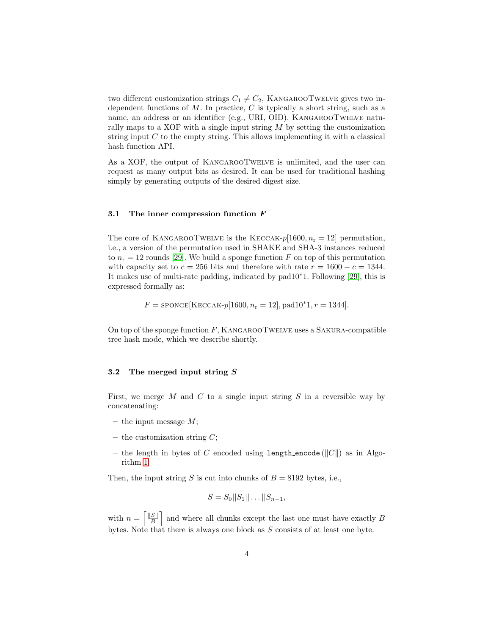two different customization strings  $C_1 \neq C_2$ , KANGAROOTWELVE gives two independent functions of  $M$ . In practice,  $C$  is typically a short string, such as a name, an address or an identifier (e.g., URI, OID). KANGAROOTWELVE naturally maps to a XOF with a single input string  $M$  by setting the customization string input  $C$  to the empty string. This allows implementing it with a classical hash function API.

As a XOF, the output of KangarooTwelve is unlimited, and the user can request as many output bits as desired. It can be used for traditional hashing simply by generating outputs of the desired digest size.

#### 3.1 The inner compression function F

The core of KANGAROOTWELVE is the KECCAK- $p[1600, n_r = 12]$  permutation, i.e., a version of the permutation used in SHAKE and SHA-3 instances reduced to  $n_r = 12$  rounds [\[29\]](#page-18-0). We build a sponge function F on top of this permutation with capacity set to  $c = 256$  bits and therefore with rate  $r = 1600 - c = 1344$ . It makes use of multi-rate padding, indicated by pad10<sup>∗</sup>1. Following [\[29\]](#page-18-0), this is expressed formally as:

$$
F = \text{sponge}[\text{KECCAK-}p[1600, n_{\text{r}} = 12], \text{pad10*1}, r = 1344].
$$

On top of the sponge function  $F$ , KANGAROOTWELVE uses a SAKURA-compatible tree hash mode, which we describe shortly.

### 3.2 The merged input string S

First, we merge  $M$  and  $C$  to a single input string  $S$  in a reversible way by concatenating:

- the input message  $M$ ;
- the customization string  $C$ ;
- the length in bytes of C encoded using length encode ( $||C||$ ) as in Algorithm [1.](#page-4-0)

Then, the input string S is cut into chunks of  $B = 8192$  bytes, i.e.,

$$
S = S_0 ||S_1|| \dots ||S_{n-1},
$$

with  $n = \left\lceil \frac{\|S\|}{B} \right\rceil$  $\frac{S\parallel}{B}$  and where all chunks except the last one must have exactly B bytes. Note that there is always one block as S consists of at least one byte.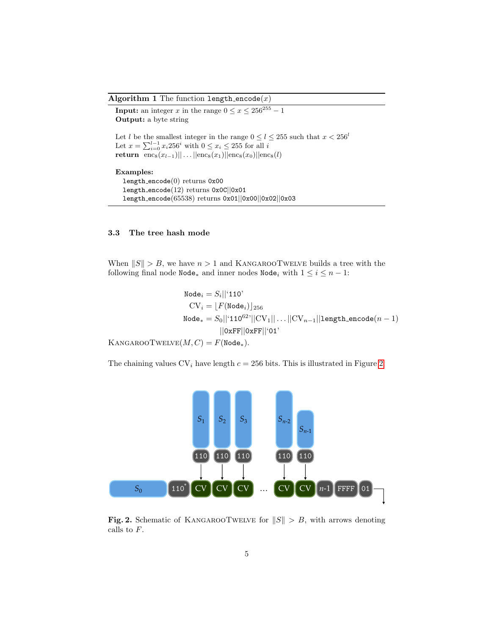Algorithm 1 The function length encode $(x)$ 

<span id="page-4-0"></span>**Input:** an integer x in the range  $0 \le x \le 256^{255} - 1$ Output: a byte string Let l be the smallest integer in the range  $0 \le l \le 255$  such that  $x < 256^l$ Let  $x = \sum_{i=0}^{l-1} x_i 256^i$  with  $0 \le x_i \le 255$  for all i return enc<sub>8</sub> $(x_{l-1})||...||$ enc<sub>8</sub> $(x_1)||$ enc<sub>8</sub> $(x_0)||$ enc<sub>8</sub> $(l)$ Examples: length encode(0) returns 0x00 length encode(12) returns 0x0C||0x01 length encode(65538) returns 0x01||0x00||0x02||0x03

#### 3.3 The tree hash mode

When  $||S|| > B$ , we have  $n > 1$  and KANGAROOTWELVE builds a tree with the following final node  $\texttt{Node}_*$  and inner nodes  $\texttt{Node}_i$  with  $1 \leq i \leq n-1$ :

 $\texttt{Node}_i = S_i || \text{`110'}$  $CV_i = |F(Node_i)|_{256}$ Node<sub>∗</sub> =  $S_0$ ||'110<sup>62</sup>'||CV<sub>1</sub>|| . . . ||CV<sub>n−1</sub>||1ength\_encode(n - 1) ||0xFF||0xFF||'01' KANGAROOTWELVE $(M, C) = F(\text{Node}_*).$ 

The chaining values  $CV_i$  have length  $c = 256$  bits. This is illustrated in Figure [2.](#page-4-1)



<span id="page-4-1"></span>Fig. 2. Schematic of KANGAROOTWELVE for  $||S|| > B$ , with arrows denoting calls to F.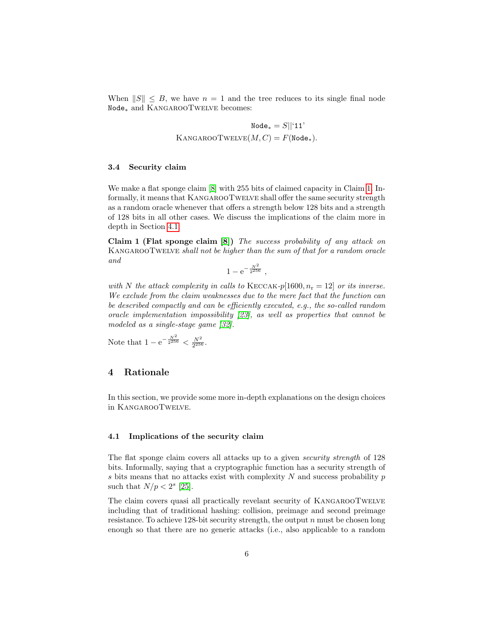When  $||S|| \leq B$ , we have  $n = 1$  and the tree reduces to its single final node Node<sup>∗</sup> and KangarooTwelve becomes:

> Node<sub>\*</sub> =  $S||$ <sup>'</sup>11' KANGAROOTWELVE $(M, C) = F(\text{Node}_*).$

### 3.4 Security claim

We make a flat sponge claim [\[8\]](#page-17-5) with 255 bits of claimed capacity in Claim [1.](#page-5-1) Informally, it means that KangarooTwelve shall offer the same security strength as a random oracle whenever that offers a strength below 128 bits and a strength of 128 bits in all other cases. We discuss the implications of the claim more in depth in Section [4.1.](#page-5-2)

<span id="page-5-1"></span>Claim 1 (Flat sponge claim [\[8\]](#page-17-5)) The success probability of any attack on KANGAROOTWELVE shall not be higher than the sum of that for a random oracle and

 $1 - e^{-\frac{N^2}{2^{256}}}$ ,

with N the attack complexity in calls to KECCAK-p[1600,  $n_r = 12$ ] or its inverse. We exclude from the claim weaknesses due to the mere fact that the function can be described compactly and can be efficiently executed, e.g., the so-called random oracle implementation impossibility [\[23\]](#page-18-3), as well as properties that cannot be modeled as a single-stage game [\[32\]](#page-19-2).

Note that  $1 - e^{-\frac{N^2}{2^{256}}} < \frac{N^2}{2^{256}}$ .

### <span id="page-5-0"></span>4 Rationale

In this section, we provide some more in-depth explanations on the design choices in KangarooTwelve.

#### <span id="page-5-2"></span>4.1 Implications of the security claim

The flat sponge claim covers all attacks up to a given security strength of 128 bits. Informally, saying that a cryptographic function has a security strength of s bits means that no attacks exist with complexity  $N$  and success probability  $p$ such that  $N/p < 2^s$  [\[25\]](#page-18-4).

The claim covers quasi all practically revelant security of KANGAROOTWELVE including that of traditional hashing: collision, preimage and second preimage resistance. To achieve 128-bit security strength, the output  $n$  must be chosen long enough so that there are no generic attacks (i.e., also applicable to a random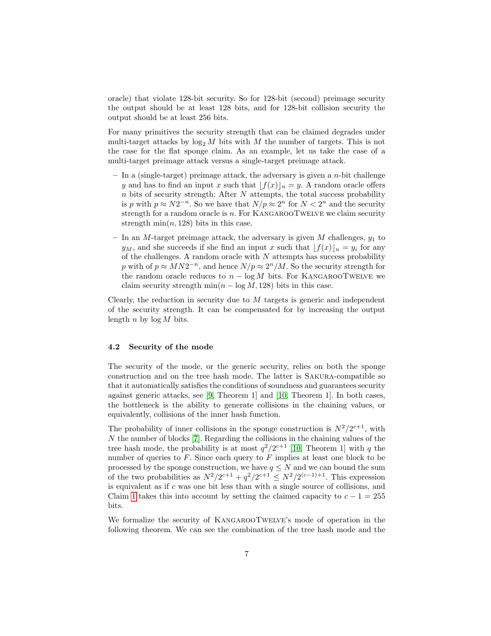oracle) that violate 128-bit security. So for 128-bit (second) preimage security the output should be at least 128 bits, and for 128-bit collision security the output should be at least 256 bits.

For many primitives the security strength that can be claimed degrades under multi-target attacks by  $\log_2 M$  bits with M the number of targets. This is not the case for the flat sponge claim. As an example, let us take the case of a multi-target preimage attack versus a single-target preimage attack.

- $-$  In a (single-target) preimage attack, the adversary is given a *n*-bit challenge y and has to find an input x such that  $[f(x)]_n = y$ . A random oracle offers  $n$  bits of security strength: After  $N$  attempts, the total success probability is p with  $p \approx N2^{-n}$ . So we have that  $N/p \approx 2^n$  for  $N < 2^n$  and the security strength for a random oracle is  $n$ . For KANGAROOTWELVE we claim security strength  $\min(n, 128)$  bits in this case.
- In an M-target preimage attack, the adversary is given  $M$  challenges,  $y_1$  to  $y_M$ , and she succeeds if she find an input x such that  $[f(x)]_n = y_i$  for any of the challenges. A random oracle with  $N$  attempts has success probability p with of  $p \approx MN2^{-n}$ , and hence  $N/p \approx 2^{n}/M$ . So the security strength for the random oracle reduces to  $n - \log M$  bits. For KANGAROOTWELVE we claim security strength  $\min(n - \log M, 128)$  bits in this case.

Clearly, the reduction in security due to  $M$  targets is generic and independent of the security strength. It can be compensated for by increasing the output length n by  $\log M$  bits.

#### 4.2 Security of the mode

The security of the mode, or the generic security, relies on both the sponge construction and on the tree hash mode. The latter is Sakura-compatible so that it automatically satisfies the conditions of soundness and guarantees security against generic attacks, see [\[9,](#page-17-0) Theorem 1] and [\[10,](#page-17-6) Theorem 1]. In both cases, the bottleneck is the ability to generate collisions in the chaining values, or equivalently, collisions of the inner hash function.

The probability of inner collisions in the sponge construction is  $N^2/2^{c+1}$ , with  $N$  the number of blocks [\[7\]](#page-17-1). Regarding the collisions in the chaining values of the tree hash mode, the probability is at most  $q^2/2^{c+1}$  [\[10,](#page-17-6) Theorem 1] with q the number of queries to  $F$ . Since each query to  $F$  implies at least one block to be processed by the sponge construction, we have  $q \leq N$  and we can bound the sum of the two probabilities as  $N^2/2^{c+1} + q^2/2^{c+1} \leq N^2/2^{(c-1)+1}$ . This expression is equivalent as if  $c$  was one bit less than with a single source of collisions, and Claim [1](#page-5-1) takes this into account by setting the claimed capacity to  $c - 1 = 255$ bits.

We formalize the security of KANGAROOTWELVE's mode of operation in the following theorem. We can see the combination of the tree hash mode and the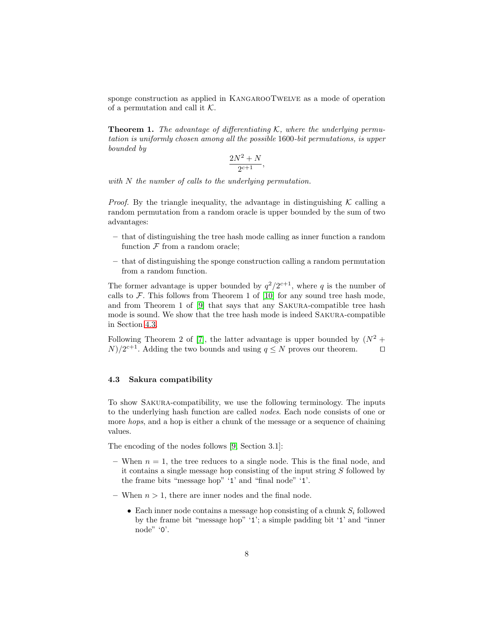sponge construction as applied in KANGAROOTWELVE as a mode of operation of a permutation and call it  $K$ .

**Theorem 1.** The advantage of differentiating K, where the underlying permutation is uniformly chosen among all the possible 1600-bit permutations, is upper bounded by

$$
\frac{2N^2+N}{2^{c+1}},
$$

with N the number of calls to the underlying permutation.

*Proof.* By the triangle inequality, the advantage in distinguishing  $K$  calling a random permutation from a random oracle is upper bounded by the sum of two advantages:

- that of distinguishing the tree hash mode calling as inner function a random function  $\mathcal F$  from a random oracle;
- that of distinguishing the sponge construction calling a random permutation from a random function.

The former advantage is upper bounded by  $q^2/2^{c+1}$ , where q is the number of calls to  $\mathcal F$ . This follows from Theorem 1 of [\[10\]](#page-17-6) for any sound tree hash mode, and from Theorem 1 of [\[9\]](#page-17-0) that says that any Sakura-compatible tree hash mode is sound. We show that the tree hash mode is indeed Sakura-compatible in Section [4.3.](#page-7-0)

Following Theorem 2 of [\[7\]](#page-17-1), the latter advantage is upper bounded by  $(N^2 +$  $N/2^{c+1}$ . Adding the two bounds and using  $q \leq N$  proves our theorem.  $\square$ 

### <span id="page-7-0"></span>4.3 Sakura compatibility

To show Sakura-compatibility, we use the following terminology. The inputs to the underlying hash function are called nodes. Each node consists of one or more *hops*, and a hop is either a chunk of the message or a sequence of chaining values.

The encoding of the nodes follows [\[9,](#page-17-0) Section 3.1]:

- When  $n = 1$ , the tree reduces to a single node. This is the final node, and it contains a single message hop consisting of the input string  $S$  followed by the frame bits "message hop" '1' and "final node" '1'.
- When  $n > 1$ , there are inner nodes and the final node.
	- Each inner node contains a message hop consisting of a chunk  $S_i$  followed by the frame bit "message hop" '1'; a simple padding bit '1' and "inner node" '0'.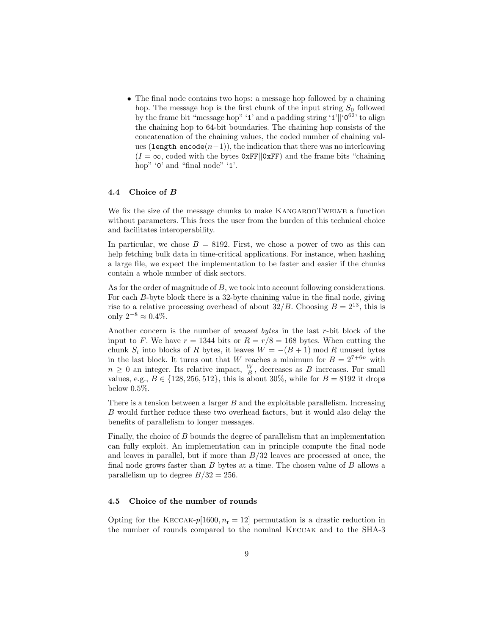• The final node contains two hops: a message hop followed by a chaining hop. The message hop is the first chunk of the input string  $S_0$  followed by the frame bit "message hop" '1' and a padding string '1'||' $0^{62}$ ' to align the chaining hop to 64-bit boundaries. The chaining hop consists of the concatenation of the chaining values, the coded number of chaining values (length\_encode $(n-1)$ ), the indication that there was no interleaving  $(I = \infty$ , coded with the bytes 0xFF||0xFF) and the frame bits "chaining hop" '0' and "final node" '1'.

#### 4.4 Choice of B

We fix the size of the message chunks to make KANGAROOTWELVE a function without parameters. This frees the user from the burden of this technical choice and facilitates interoperability.

In particular, we chose  $B = 8192$ . First, we chose a power of two as this can help fetching bulk data in time-critical applications. For instance, when hashing a large file, we expect the implementation to be faster and easier if the chunks contain a whole number of disk sectors.

As for the order of magnitude of B, we took into account following considerations. For each B-byte block there is a 32-byte chaining value in the final node, giving rise to a relative processing overhead of about  $32/B$ . Choosing  $B = 2^{13}$ , this is only  $2^{-8}$  ≈ 0.4%.

Another concern is the number of unused bytes in the last r-bit block of the input to F. We have  $r = 1344$  bits or  $R = r/8 = 168$  bytes. When cutting the chunk  $S_i$  into blocks of R bytes, it leaves  $W = -(B + 1) \text{ mod } R$  unused bytes in the last block. It turns out that W reaches a minimum for  $B = 2^{7+6n}$  with  $n \geq 0$  an integer. Its relative impact,  $\frac{W}{B}$ , decreases as B increases. For small values, e.g.,  $B \in \{128, 256, 512\}$ , this is about 30%, while for  $B = 8192$  it drops below 0.5%.

There is a tension between a larger  $B$  and the exploitable parallelism. Increasing B would further reduce these two overhead factors, but it would also delay the benefits of parallelism to longer messages.

Finally, the choice of B bounds the degree of parallelism that an implementation can fully exploit. An implementation can in principle compute the final node and leaves in parallel, but if more than  $B/32$  leaves are processed at once, the final node grows faster than  $B$  bytes at a time. The chosen value of  $B$  allows a parallelism up to degree  $B/32 = 256$ .

### 4.5 Choice of the number of rounds

Opting for the KECCAK- $p[1600, n_r = 12]$  permutation is a drastic reduction in the number of rounds compared to the nominal Keccak and to the SHA-3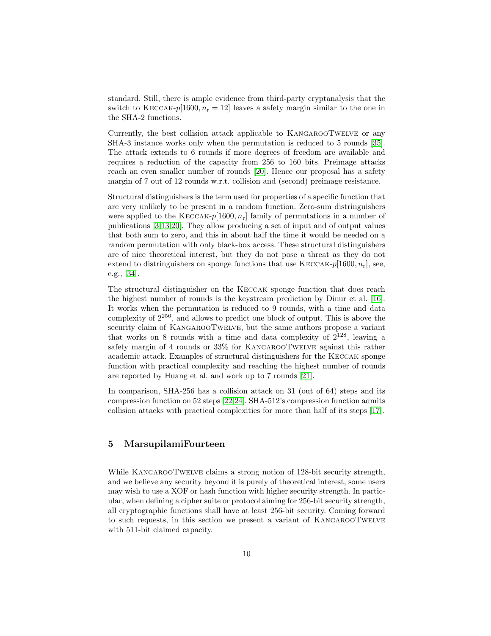standard. Still, there is ample evidence from third-party cryptanalysis that the switch to KECCAK-p[1600,  $n_r = 12$ ] leaves a safety margin similar to the one in the SHA-2 functions.

Currently, the best collision attack applicable to KangarooTwelve or any SHA-3 instance works only when the permutation is reduced to 5 rounds [\[35\]](#page-19-0). The attack extends to 6 rounds if more degrees of freedom are available and requires a reduction of the capacity from 256 to 160 bits. Preimage attacks reach an even smaller number of rounds [\[20\]](#page-18-5). Hence our proposal has a safety margin of 7 out of 12 rounds w.r.t. collision and (second) preimage resistance.

Structural distinguishers is the term used for properties of a specific function that are very unlikely to be present in a random function. Zero-sum distringuishers were applied to the KECCAK- $p[1600, n_r]$  family of permutations in a number of publications [\[3](#page-17-7)[,13,](#page-17-8)[20\]](#page-18-5). They allow producing a set of input and of output values that both sum to zero, and this in about half the time it would be needed on a random permutation with only black-box access. These structural distinguishers are of nice theoretical interest, but they do not pose a threat as they do not extend to distringuishers on sponge functions that use  $KECCAK-p[1600, n_r]$ , see, e.g., [\[34\]](#page-19-3).

The structural distinguisher on the Keccak sponge function that does reach the highest number of rounds is the keystream prediction by Dinur et al. [\[16\]](#page-18-6). It works when the permutation is reduced to 9 rounds, with a time and data complexity of  $2^{256}$ , and allows to predict one block of output. This is above the security claim of KANGAROOTWELVE, but the same authors propose a variant that works on 8 rounds with a time and data complexity of  $2^{128}$ , leaving a safety margin of 4 rounds or 33% for KANGAROOTWELVE against this rather academic attack. Examples of structural distinguishers for the Keccak sponge function with practical complexity and reaching the highest number of rounds are reported by Huang et al. and work up to 7 rounds [\[21\]](#page-18-7).

In comparison, SHA-256 has a collision attack on 31 (out of 64) steps and its compression function on 52 steps [\[22,](#page-18-8)[24\]](#page-18-9). SHA-512's compression function admits collision attacks with practical complexities for more than half of its steps [\[17\]](#page-18-10).

# <span id="page-9-0"></span>5 MarsupilamiFourteen

While KANGAROOTWELVE claims a strong notion of 128-bit security strength, and we believe any security beyond it is purely of theoretical interest, some users may wish to use a XOF or hash function with higher security strength. In particular, when defining a cipher suite or protocol aiming for 256-bit security strength, all cryptographic functions shall have at least 256-bit security. Coming forward to such requests, in this section we present a variant of KangarooTwelve with 511-bit claimed capacity.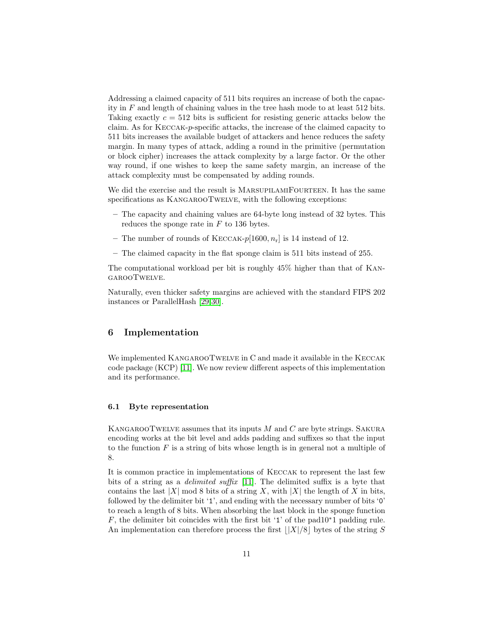Addressing a claimed capacity of 511 bits requires an increase of both the capacity in  $F$  and length of chaining values in the tree hash mode to at least 512 bits. Taking exactly  $c = 512$  bits is sufficient for resisting generic attacks below the claim. As for Keccak-p-specific attacks, the increase of the claimed capacity to 511 bits increases the available budget of attackers and hence reduces the safety margin. In many types of attack, adding a round in the primitive (permutation or block cipher) increases the attack complexity by a large factor. Or the other way round, if one wishes to keep the same safety margin, an increase of the attack complexity must be compensated by adding rounds.

We did the exercise and the result is MARSUPILAMIFOURTEEN. It has the same specifications as KANGAROOTWELVE, with the following exceptions:

- The capacity and chaining values are 64-byte long instead of 32 bytes. This reduces the sponge rate in  $F$  to 136 bytes.
- The number of rounds of KECCAK- $p[1600, n_r]$  is 14 instead of 12.
- The claimed capacity in the flat sponge claim is 511 bits instead of 255.

The computational workload per bit is roughly 45% higher than that of KangarooTwelve.

Naturally, even thicker safety margins are achieved with the standard FIPS 202 instances or ParallelHash [\[29,](#page-18-0)[30\]](#page-18-2).

### <span id="page-10-0"></span>6 Implementation

We implemented KANGAROOTWELVE in C and made it available in the KECCAK code package (KCP) [\[11\]](#page-17-9). We now review different aspects of this implementation and its performance.

### 6.1 Byte representation

KANGAROOTWELVE assumes that its inputs  $M$  and  $C$  are byte strings. SAKURA encoding works at the bit level and adds padding and suffixes so that the input to the function  $F$  is a string of bits whose length is in general not a multiple of 8.

It is common practice in implementations of Keccak to represent the last few bits of a string as a delimited suffix [\[11\]](#page-17-9). The delimited suffix is a byte that contains the last  $|X|$  mod 8 bits of a string X, with  $|X|$  the length of X in bits, followed by the delimiter bit '1', and ending with the necessary number of bits '0' to reach a length of 8 bits. When absorbing the last block in the sponge function F, the delimiter bit coincides with the first bit '1' of the pad10<sup>∗</sup>1 padding rule. An implementation can therefore process the first  $||X|/8$  bytes of the string S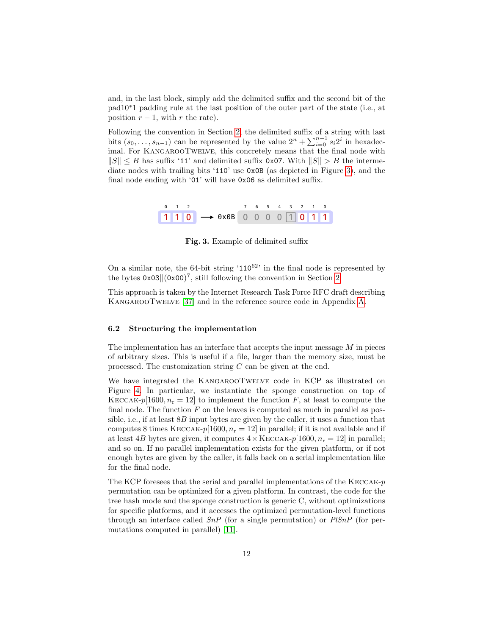and, in the last block, simply add the delimited suffix and the second bit of the pad10∗1 padding rule at the last position of the outer part of the state (i.e., at position  $r - 1$ , with r the rate).

Following the convention in Section [2,](#page-2-0) the delimited suffix of a string with last bits  $(s_0, \ldots, s_{n-1})$  can be represented by the value  $2^n + \sum_{i=0}^{n-1} s_i 2^i$  in hexadecimal. For KangarooTwelve, this concretely means that the final node with  $||S|| \leq B$  has suffix '11' and delimited suffix 0x07. With  $||S|| > B$  the intermediate nodes with trailing bits '110' use 0x0B (as depicted in Figure [3\)](#page-11-0), and the final node ending with '01' will have 0x06 as delimited suffix.

| $0 \t 1 \t 2$ |  |                                        |  |  |  | 7 6 5 4 3 2 1 0 |
|---------------|--|----------------------------------------|--|--|--|-----------------|
|               |  | $110 \rightarrow 0x0B$ 0 0 0 0 1 0 1 1 |  |  |  |                 |

<span id="page-11-0"></span>Fig. 3. Example of delimited suffix

On a similar note, the 64-bit string  $110^{62}$  in the final node is represented by the bytes  $0x03||(0x00)^7$ , still following the convention in Section [2.](#page-2-0)

This approach is taken by the Internet Research Task Force RFC draft describing KangarooTwelve [\[37\]](#page-19-4) and in the reference source code in Appendix [A.](#page-20-0)

#### 6.2 Structuring the implementation

The implementation has an interface that accepts the input message  $M$  in pieces of arbitrary sizes. This is useful if a file, larger than the memory size, must be processed. The customization string  $C$  can be given at the end.

We have integrated the KANGAROOTWELVE code in KCP as illustrated on Figure [4.](#page-12-0) In particular, we instantiate the sponge construction on top of KECCAK-p[1600,  $n_r = 12$ ] to implement the function F, at least to compute the final node. The function  $F$  on the leaves is computed as much in parallel as possible, i.e., if at least  $8B$  input bytes are given by the caller, it uses a function that computes 8 times KECCAK-p[1600,  $n_r = 12$ ] in parallel; if it is not available and if at least 4B bytes are given, it computes  $4 \times \text{KECCAK-p}[1600, n_r = 12]$  in parallel; and so on. If no parallel implementation exists for the given platform, or if not enough bytes are given by the caller, it falls back on a serial implementation like for the final node.

The KCP foresees that the serial and parallel implementations of the  $KECCAK-p$ permutation can be optimized for a given platform. In contrast, the code for the tree hash mode and the sponge construction is generic C, without optimizations for specific platforms, and it accesses the optimized permutation-level functions through an interface called  $SnP$  (for a single permutation) or  $PlSnP$  (for permutations computed in parallel) [\[11\]](#page-17-9).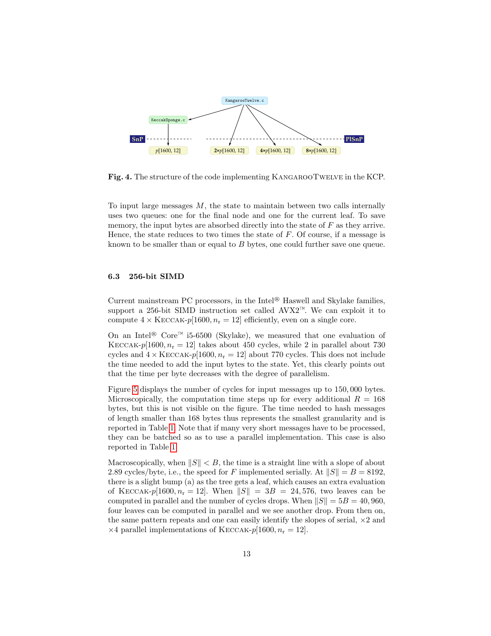

<span id="page-12-0"></span>Fig. 4. The structure of the code implementing KangarooTwelve in the KCP.

To input large messages  $M$ , the state to maintain between two calls internally uses two queues: one for the final node and one for the current leaf. To save memory, the input bytes are absorbed directly into the state of  $F$  as they arrive. Hence, the state reduces to two times the state of F. Of course, if a message is known to be smaller than or equal to B bytes, one could further save one queue.

### 6.3 256-bit SIMD

Current mainstream PC processors, in the Intel® Haswell and Skylake families, support a 256-bit SIMD instruction set called AVX2™. We can exploit it to compute  $4 \times \text{KECCAK-}p[1600, n_r = 12]$  efficiently, even on a single core.

On an Intel® Core™ i5-6500 (Skylake), we measured that one evaluation of KECCAK-p[1600,  $n_r = 12$ ] takes about 450 cycles, while 2 in parallel about 730 cycles and  $4 \times \text{KECCAK-}p[1600, n_r = 12]$  about 770 cycles. This does not include the time needed to add the input bytes to the state. Yet, this clearly points out that the time per byte decreases with the degree of parallelism.

Figure [5](#page-14-0) displays the number of cycles for input messages up to 150, 000 bytes. Microscopically, the computation time steps up for every additional  $R = 168$ bytes, but this is not visible on the figure. The time needed to hash messages of length smaller than 168 bytes thus represents the smallest granularity and is reported in Table [1.](#page-13-0) Note that if many very short messages have to be processed, they can be batched so as to use a parallel implementation. This case is also reported in Table [1.](#page-13-0)

Macroscopically, when  $||S|| < B$ , the time is a straight line with a slope of about 2.89 cycles/byte, i.e., the speed for F implemented serially. At  $||S|| = B = 8192$ , there is a slight bump (a) as the tree gets a leaf, which causes an extra evaluation of KECCAK-p[1600,  $n_r = 12$ ]. When  $||S|| = 3B = 24,576$ , two leaves can be computed in parallel and the number of cycles drops. When  $||S|| = 5B = 40,960$ , four leaves can be computed in parallel and we see another drop. From then on, the same pattern repeats and one can easily identify the slopes of serial,  $\times 2$  and  $\times$ 4 parallel implementations of KECCAK- $p$ [1600,  $n_r = 12$ ].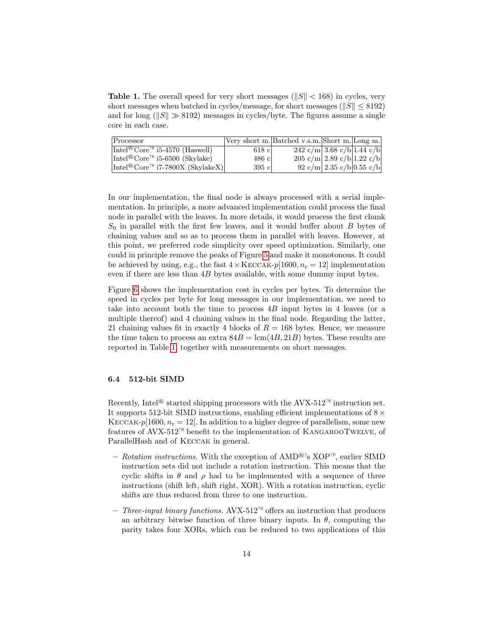<span id="page-13-0"></span>**Table 1.** The overall speed for very short messages ( $||S|| < 168$ ) in cycles, very short messages when batched in cycles/message, for short messages ( $||S|| \leq 8192$ ) and for long ( $||S|| \gg 8192$ ) messages in cycles/byte. The figures assume a single core in each case.

| Processor                                                                     |         | Very short m. Batched v.s.m. Short m. Long m. |                                     |  |
|-------------------------------------------------------------------------------|---------|-----------------------------------------------|-------------------------------------|--|
| $\sqrt{\text{Intel}^{\circledR}}\text{Core}^{\uparrow\upM}$ i5-4570 (Haswell) | $618$ c |                                               | 242 c/m 3.68 c/b 1.44 c/b           |  |
| Intel <sup>®</sup> Core <sup>™</sup> i5-6500 (Skylake)                        | 486c    |                                               | $205 \text{ c/m}$ 2.89 c/b 1.22 c/b |  |
| Intel <sup>®</sup> Core <sup>™</sup> i7-7800X (SkylakeX)                      | 395c    |                                               | 92 c/m 2.35 c/b 0.55 c/b            |  |

In our implementation, the final node is always processed with a serial implementation. In principle, a more advanced implementation could process the final node in parallel with the leaves. In more details, it would process the first chunk  $S_0$  in parallel with the first few leaves, and it would buffer about B bytes of chaining values and so as to process them in parallel with leaves. However, at this point, we preferred code simplicity over speed optimization. Similarly, one could in principle remove the peaks of Figure [5](#page-14-0) and make it monotonous. It could be achieved by using, e.g., the fast  $4 \times \text{KECCAK}-p[1600, n_r = 12]$  implementation even if there are less than 4B bytes available, with some dummy input bytes.

Figure [6](#page-14-1) shows the implementation cost in cycles per bytes. To determine the speed in cycles per byte for long messages in our implementation, we need to take into account both the time to process 4B input bytes in 4 leaves (or a multiple thereof) and 4 chaining values in the final node. Regarding the latter, 21 chaining values fit in exactly 4 blocks of  $R = 168$  bytes. Hence, we measure the time taken to process an extra  $84B = \text{lcm}(4B, 21B)$  bytes. These results are reported in Table [1,](#page-13-0) together with measurements on short messages.

#### 6.4 512-bit SIMD

Recently, Intel<sup>®</sup> started shipping processors with the AVX-512<sup>™</sup> instruction set. It supports 512-bit SIMD instructions, enabling efficient implementations of  $8 \times$ KECCAK-p[1600,  $n_r = 12$ ]. In addition to a higher degree of parallelism, some new features of AVX-512<sup>™</sup> benefit to the implementation of KANGAROOTWELVE, of ParallelHash and of Keccak in general.

- Rotation instructions. With the exception of AMD<sup>®</sup>'s XOP™, earlier SIMD instruction sets did not include a rotation instruction. This means that the cyclic shifts in  $\theta$  and  $\rho$  had to be implemented with a sequence of three instructions (shift left, shift right, XOR). With a rotation instruction, cyclic shifts are thus reduced from three to one instruction.
- $−$  Three-input binary functions. AVX-512™ offers an instruction that produces an arbitrary bitwise function of three binary inputs. In  $\theta$ , computing the parity takes four XORs, which can be reduced to two applications of this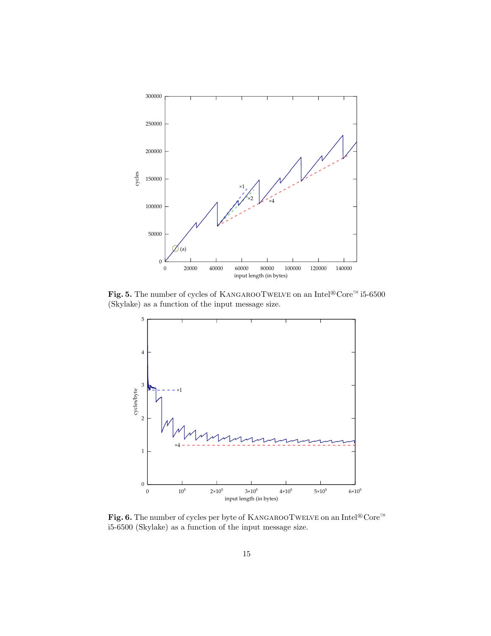

<span id="page-14-0"></span>Fig. 5. The number of cycles of KANGAROOTWELVE on an Intel®Core™ i5-6500 (Skylake) as a function of the input message size.



<span id="page-14-1"></span>Fig. 6. The number of cycles per byte of KANGAROOTWELVE on an Intel®Core™ i5-6500 (Skylake) as a function of the input message size.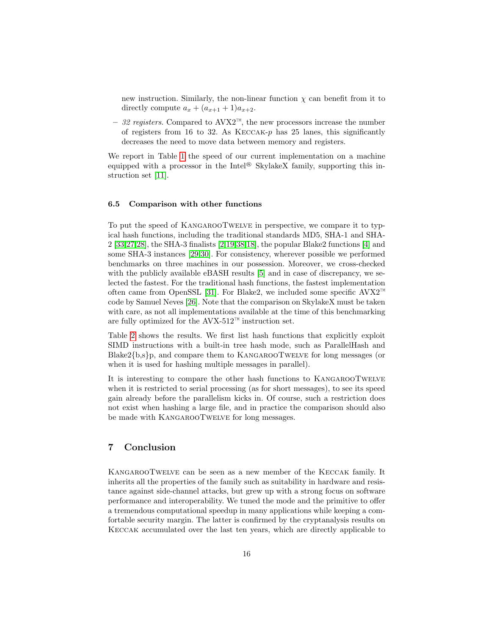new instruction. Similarly, the non-linear function  $\chi$  can benefit from it to directly compute  $a_x + (a_{x+1} + 1)a_{x+2}$ .

– 32 registers. Compared to AVX2™, the new processors increase the number of registers from 16 to 32. As  $KECCAK-p$  has 25 lanes, this significantly decreases the need to move data between memory and registers.

We report in Table [1](#page-13-0) the speed of our current implementation on a machine equipped with a processor in the Intel® SkylakeX family, supporting this instruction set [\[11\]](#page-17-9).

#### 6.5 Comparison with other functions

To put the speed of KangarooTwelve in perspective, we compare it to typical hash functions, including the traditional standards MD5, SHA-1 and SHA-2 [\[33,](#page-19-5)[27](#page-18-11)[,28\]](#page-18-12), the SHA-3 finalists [\[2](#page-17-10)[,19,](#page-18-13)[38,](#page-19-6)[18\]](#page-18-14), the popular Blake2 functions [\[4\]](#page-17-11) and some SHA-3 instances [\[29,](#page-18-0)[30\]](#page-18-2). For consistency, wherever possible we performed benchmarks on three machines in our possession. Moreover, we cross-checked with the publicly available eBASH results [\[5\]](#page-17-12) and in case of discrepancy, we selected the fastest. For the traditional hash functions, the fastest implementation often came from OpenSSL [\[31\]](#page-18-15). For Blake2, we included some specific AVX2<sup>™</sup> code by Samuel Neves [\[26\]](#page-18-16). Note that the comparison on SkylakeX must be taken with care, as not all implementations available at the time of this benchmarking are fully optimized for the AVX-512™ instruction set.

Table [2](#page-16-0) shows the results. We first list hash functions that explicitly exploit SIMD instructions with a built-in tree hash mode, such as ParallelHash and  $B$ lake2 $\{b,s\}$ p, and compare them to KANGAROOTWELVE for long messages (or when it is used for hashing multiple messages in parallel).

It is interesting to compare the other hash functions to KangarooTwelve when it is restricted to serial processing (as for short messages), to see its speed gain already before the parallelism kicks in. Of course, such a restriction does not exist when hashing a large file, and in practice the comparison should also be made with KangarooTwelve for long messages.

### 7 Conclusion

KangarooTwelve can be seen as a new member of the Keccak family. It inherits all the properties of the family such as suitability in hardware and resistance against side-channel attacks, but grew up with a strong focus on software performance and interoperability. We tuned the mode and the primitive to offer a tremendous computational speedup in many applications while keeping a comfortable security margin. The latter is confirmed by the cryptanalysis results on Keccak accumulated over the last ten years, which are directly applicable to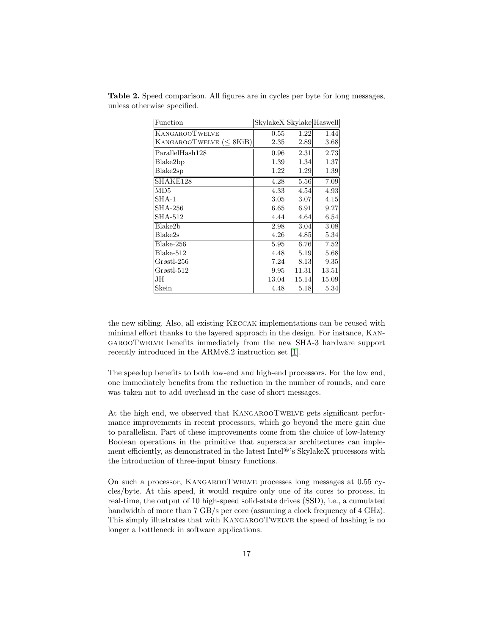| Function                      | SkylakeX Skylake Haswell |       |       |
|-------------------------------|--------------------------|-------|-------|
| <b>KANGAROOTWELVE</b>         | 0.55                     | 1.22  | 1.44  |
| KANGAROOTWELVE $(\leq 8$ KiB) | 2.35                     | 2.89  | 3.68  |
| ParallelHash128               | 0.96                     | 2.31  | 2.73  |
| Blake2bp                      | 1.39                     | 1.34  | 1.37  |
| Blake2sp                      | 1.22                     | 1.29  | 1.39  |
| SHAKE128                      | 4.28                     | 5.56  | 7.09  |
| MD5                           | 4.33                     | 4.54  | 4.93  |
| $SHA-1$                       | 3.05                     | 3.07  | 4.15  |
| <b>SHA-256</b>                | 6.65                     | 6.91  | 9.27  |
| <b>SHA-512</b>                | 4.44                     | 4.64  | 6.54  |
| Blake2b                       | 2.98                     | 3.04  | 3.08  |
| Blake2s                       | 4.26                     | 4.85  | 5.34  |
| Blake-256                     | 5.95                     | 6.76  | 7.52  |
| Blake-512                     | 4.48                     | 5.19  | 5.68  |
| Grøstl-256                    | 7.24                     | 8.13  | 9.35  |
| $G$ røstl-512                 | 9.95                     | 11.31 | 13.51 |
| JН                            | 13.04                    | 15.14 | 15.09 |
| Skein                         | 4.48                     | 5.18  | 5.34  |

<span id="page-16-0"></span>Table 2. Speed comparison. All figures are in cycles per byte for long messages, unless otherwise specified.

the new sibling. Also, all existing Keccak implementations can be reused with minimal effort thanks to the layered approach in the design. For instance, KangarooTwelve benefits immediately from the new SHA-3 hardware support recently introduced in the ARMv8.2 instruction set [\[1\]](#page-17-13).

The speedup benefits to both low-end and high-end processors. For the low end, one immediately benefits from the reduction in the number of rounds, and care was taken not to add overhead in the case of short messages.

At the high end, we observed that KangarooTwelve gets significant performance improvements in recent processors, which go beyond the mere gain due to parallelism. Part of these improvements come from the choice of low-latency Boolean operations in the primitive that superscalar architectures can implement efficiently, as demonstrated in the latest Intel®'s SkylakeX processors with the introduction of three-input binary functions.

On such a processor, KangarooTwelve processes long messages at 0.55 cycles/byte. At this speed, it would require only one of its cores to process, in real-time, the output of 10 high-speed solid-state drives (SSD), i.e., a cumulated bandwidth of more than 7 GB/s per core (assuming a clock frequency of 4 GHz). This simply illustrates that with KANGAROOTWELVE the speed of hashing is no longer a bottleneck in software applications.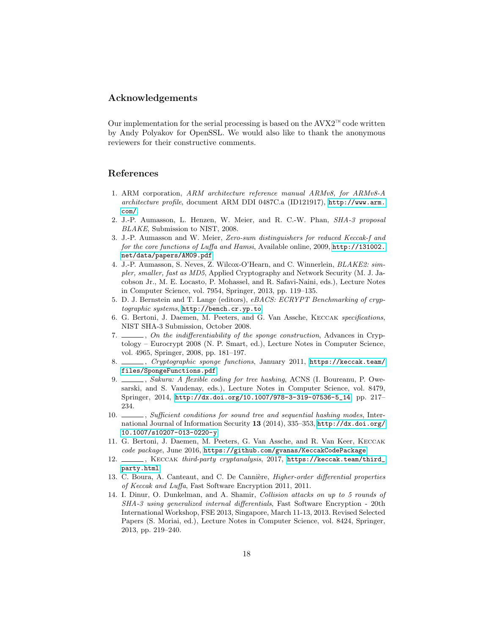### Acknowledgements

Our implementation for the serial processing is based on the  $AVX2^{\text{TM}}$  code written by Andy Polyakov for OpenSSL. We would also like to thank the anonymous reviewers for their constructive comments.

### References

- <span id="page-17-13"></span>1. ARM corporation, ARM architecture reference manual ARMv8, for ARMv8-A architecture profile, document ARM DDI 0487C.a (ID121917), [http://www.arm.](http://www.arm.com/) [com/](http://www.arm.com/).
- <span id="page-17-10"></span>2. J.-P. Aumasson, L. Henzen, W. Meier, and R. C.-W. Phan, SHA-3 proposal BLAKE, Submission to NIST, 2008.
- <span id="page-17-7"></span>3. J.-P. Aumasson and W. Meier, Zero-sum distinguishers for reduced Keccak-f and for the core functions of Luffa and Hamsi, Available online, 2009, [http://131002.](http://131002.net/data/papers/AM09.pdf) [net/data/papers/AM09.pdf](http://131002.net/data/papers/AM09.pdf).
- <span id="page-17-11"></span>4. J.-P. Aumasson, S. Neves, Z. Wilcox-O'Hearn, and C. Winnerlein, BLAKE2: simpler, smaller, fast as MD5, Applied Cryptography and Network Security (M. J. Jacobson Jr., M. E. Locasto, P. Mohassel, and R. Safavi-Naini, eds.), Lecture Notes in Computer Science, vol. 7954, Springer, 2013, pp. 119–135.
- <span id="page-17-12"></span>5. D. J. Bernstein and T. Lange (editors), eBACS: ECRYPT Benchmarking of cryptographic systems, <http://bench.cr.yp.to>.
- <span id="page-17-2"></span>6. G. Bertoni, J. Daemen, M. Peeters, and G. Van Assche, Keccak specifications, NIST SHA-3 Submission, October 2008.
- <span id="page-17-1"></span>7. \_\_\_\_, On the indifferentiability of the sponge construction, Advances in Cryptology – Eurocrypt 2008 (N. P. Smart, ed.), Lecture Notes in Computer Science, vol. 4965, Springer, 2008, pp. 181–197.
- <span id="page-17-5"></span> $\_,$  Cryptographic sponge functions, January 2011, [https://keccak.team/](https://keccak.team/files/SpongeFunctions.pdf) [files/SpongeFunctions.pdf](https://keccak.team/files/SpongeFunctions.pdf).
- <span id="page-17-0"></span>9. Sakura: A flexible coding for tree hashing, ACNS (I. Boureanu, P. Owesarski, and S. Vaudenay, eds.), Lecture Notes in Computer Science, vol. 8479, Springer, 2014, [http://dx.doi.org/10.1007/978-3-319-07536-5\\_14](http://dx.doi.org/10.1007/978-3-319-07536-5_14), pp. 217– 234.
- <span id="page-17-6"></span>10. Sufficient conditions for sound tree and sequential hashing modes, International Journal of Information Security 13 (2014), 335–353, [http://dx.doi.org/](http://dx.doi.org/10.1007/s10207-013-0220-y) [10.1007/s10207-013-0220-y](http://dx.doi.org/10.1007/s10207-013-0220-y).
- <span id="page-17-9"></span>11. G. Bertoni, J. Daemen, M. Peeters, G. Van Assche, and R. Van Keer, Keccak code package, June 2016, <https://github.com/gvanas/KeccakCodePackage>.
- <span id="page-17-3"></span>12.  $\_\_\_\$ , KECCAK third-party cryptanalysis, 2017, [https://keccak.team/third\\_](https://keccak.team/third_party.html) [party.html](https://keccak.team/third_party.html).
- <span id="page-17-8"></span>13. C. Boura, A. Canteaut, and C. De Cannière, *Higher-order differential properties* of Keccak and Luffa, Fast Software Encryption 2011, 2011.
- <span id="page-17-4"></span>14. I. Dinur, O. Dunkelman, and A. Shamir, Collision attacks on up to 5 rounds of SHA-3 using generalized internal differentials, Fast Software Encryption - 20th International Workshop, FSE 2013, Singapore, March 11-13, 2013. Revised Selected Papers (S. Moriai, ed.), Lecture Notes in Computer Science, vol. 8424, Springer, 2013, pp. 219–240.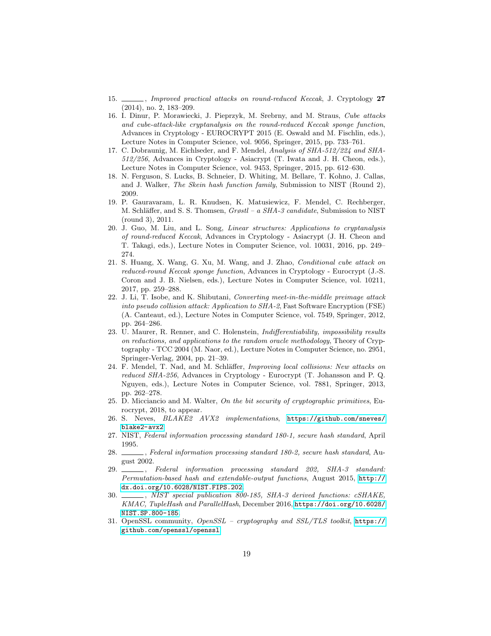- <span id="page-18-1"></span>15.  $\_\_\_\_\$ n Improved practical attacks on round-reduced Keccak, J. Cryptology 27 (2014), no. 2, 183–209.
- <span id="page-18-6"></span>16. I. Dinur, P. Morawiecki, J. Pieprzyk, M. Srebrny, and M. Straus, Cube attacks and cube-attack-like cryptanalysis on the round-reduced Keccak sponge function, Advances in Cryptology - EUROCRYPT 2015 (E. Oswald and M. Fischlin, eds.), Lecture Notes in Computer Science, vol. 9056, Springer, 2015, pp. 733–761.
- <span id="page-18-10"></span>17. C. Dobraunig, M. Eichlseder, and F. Mendel, Analysis of SHA-512/224 and SHA-512/256, Advances in Cryptology - Asiacrypt (T. Iwata and J. H. Cheon, eds.), Lecture Notes in Computer Science, vol. 9453, Springer, 2015, pp. 612–630.
- <span id="page-18-14"></span>18. N. Ferguson, S. Lucks, B. Schneier, D. Whiting, M. Bellare, T. Kohno, J. Callas, and J. Walker, The Skein hash function family, Submission to NIST (Round 2), 2009.
- <span id="page-18-13"></span>19. P. Gauravaram, L. R. Knudsen, K. Matusiewicz, F. Mendel, C. Rechberger, M. Schläffer, and S. S. Thomsen, Grøstl – a SHA-3 candidate, Submission to NIST (round 3), 2011.
- <span id="page-18-5"></span>20. J. Guo, M. Liu, and L. Song, Linear structures: Applications to cryptanalysis of round-reduced Keccak, Advances in Cryptology - Asiacrypt (J. H. Cheon and T. Takagi, eds.), Lecture Notes in Computer Science, vol. 10031, 2016, pp. 249– 274.
- <span id="page-18-7"></span>21. S. Huang, X. Wang, G. Xu, M. Wang, and J. Zhao, Conditional cube attack on reduced-round Keccak sponge function, Advances in Cryptology - Eurocrypt (J.-S. Coron and J. B. Nielsen, eds.), Lecture Notes in Computer Science, vol. 10211, 2017, pp. 259–288.
- <span id="page-18-8"></span>22. J. Li, T. Isobe, and K. Shibutani, Converting meet-in-the-middle preimage attack into pseudo collision attack: Application to SHA-2, Fast Software Encryption (FSE) (A. Canteaut, ed.), Lecture Notes in Computer Science, vol. 7549, Springer, 2012, pp. 264–286.
- <span id="page-18-3"></span>23. U. Maurer, R. Renner, and C. Holenstein, *Indifferentiability, impossibility results* on reductions, and applications to the random oracle methodology, Theory of Cryptography - TCC 2004 (M. Naor, ed.), Lecture Notes in Computer Science, no. 2951, Springer-Verlag, 2004, pp. 21–39.
- <span id="page-18-9"></span>24. F. Mendel, T. Nad, and M. Schläffer, *Improving local collisions: New attacks on* reduced SHA-256, Advances in Cryptology - Eurocrypt (T. Johansson and P. Q. Nguyen, eds.), Lecture Notes in Computer Science, vol. 7881, Springer, 2013, pp. 262–278.
- <span id="page-18-4"></span>25. D. Micciancio and M. Walter, On the bit security of cryptographic primitives, Eurocrypt, 2018, to appear.
- <span id="page-18-16"></span>26. S. Neves, BLAKE2 AVX2 implementations, [https://github.com/sneves/](https://github.com/sneves/blake2-avx2) [blake2-avx2](https://github.com/sneves/blake2-avx2).
- <span id="page-18-11"></span>27. NIST, Federal information processing standard 180-1, secure hash standard, April 1995.
- <span id="page-18-12"></span>28. Secure hash standard, August 2002.
- <span id="page-18-0"></span>29. , Federal information processing standard 202, SHA-3 standard: Permutation-based hash and extendable-output functions, August 2015, [http://](http://dx.doi.org/10.6028/NIST.FIPS.202) [dx.doi.org/10.6028/NIST.FIPS.202](http://dx.doi.org/10.6028/NIST.FIPS.202).
- <span id="page-18-2"></span>30. MIST special publication 800-185, SHA-3 derived functions: cSHAKE, KMAC, TupleHash and ParallelHash, December 2016, [https://doi.org/10.6028/](https://doi.org/10.6028/NIST.SP.800-185) [NIST.SP.800-185](https://doi.org/10.6028/NIST.SP.800-185).
- <span id="page-18-15"></span>31. OpenSSL community, OpenSSL – cryptography and SSL/TLS toolkit, [https://](https://github.com/openssl/openssl) [github.com/openssl/openssl](https://github.com/openssl/openssl).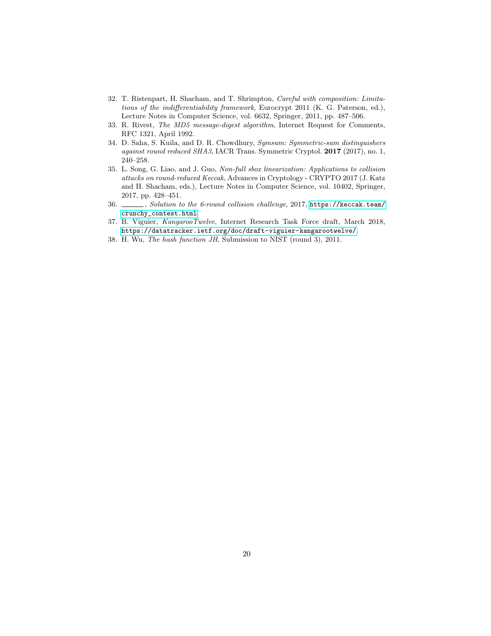- <span id="page-19-2"></span>32. T. Ristenpart, H. Shacham, and T. Shrimpton, Careful with composition: Limitations of the indifferentiability framework, Eurocrypt 2011 (K. G. Paterson, ed.), Lecture Notes in Computer Science, vol. 6632, Springer, 2011, pp. 487–506.
- <span id="page-19-5"></span>33. R. Rivest, The MD5 message-digest algorithm, Internet Request for Comments, RFC 1321, April 1992.
- <span id="page-19-3"></span>34. D. Saha, S. Kuila, and D. R. Chowdhury, Symsum: Symmetric-sum distinguishers against round reduced SHA3, IACR Trans. Symmetric Cryptol. 2017 (2017), no. 1, 240–258.
- <span id="page-19-0"></span>35. L. Song, G. Liao, and J. Guo, Non-full sbox linearization: Applications to collision attacks on round-reduced Keccak, Advances in Cryptology - CRYPTO 2017 (J. Katz and H. Shacham, eds.), Lecture Notes in Computer Science, vol. 10402, Springer, 2017, pp. 428–451.
- <span id="page-19-1"></span>36. Solution to the 6-round collision challenge, 2017, [https://keccak.team/](https://keccak.team/crunchy_contest.html) [crunchy\\_contest.html](https://keccak.team/crunchy_contest.html).
- <span id="page-19-4"></span>37. B. Viguier, KangarooTwelve, Internet Research Task Force draft, March 2018, <https://datatracker.ietf.org/doc/draft-viguier-kangarootwelve/>.
- <span id="page-19-6"></span>38. H. Wu, The hash function JH, Submission to NIST (round 3), 2011.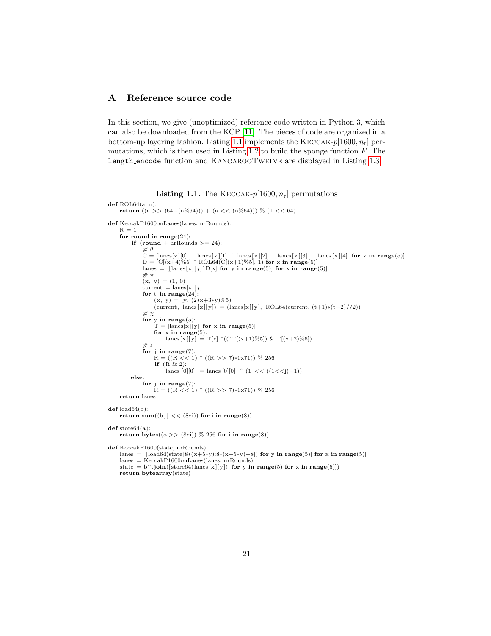# <span id="page-20-0"></span>A Reference source code

In this section, we give (unoptimized) reference code written in Python 3, which can also be downloaded from the KCP [\[11\]](#page-17-9). The pieces of code are organized in a bottom-up layering fashion. Listing [1.1](#page-20-1) implements the KECCAK- $p[1600, n_r]$  per-mutations, which is then used in Listing [1.2](#page-21-0) to build the sponge function  $F$ . The length encode function and KangarooTwelve are displayed in Listing [1.3.](#page-21-1)

**Listing 1.1.** The KECCAK- $p[1600, n_r]$  permutations

```
def ROL64(a, n):
     return ((a >> (64-(n%64))) + (a << (n%64))) % (1 << 64)
def KeccakP1600onLanes(lanes, nrRounds):
     R = 1for round in range(24):
          if (round + nrRounds \geq 24):
               # \thetaC = \left[\text{lanes}[x][0] \mod 2 \right] \text{Manes}[x][1] \approx \text{lanes}[x][2] \approx \text{lanes}[x][3] \approx \text{lanes}[x][4] for x in range(5)]<br>
D = [C[(x+4)\%5] \approx \text{ROL64}(C[(x+1)\%5], 1) for x in range(5)]
               lanes = [[\text{lanes } [x] [y]^c D[x] for y in range(5)] for x in range(5)]
               #\pi(x, y) = (1, 0)\label{eq:current} \text{current}\,=\,\text{lanes}[\mathbf{x}\,][\,\mathbf{y}]for t in range(24):
                    (x, y) = (y, (2*x+3*y)\%5)(\text{current}, \text{ lanes}[x][y]) = (\text{lines}[x][y], \text{ROL64}(\text{current}, (t+1)*(t+2)//2))\#\ \chifor y in range(5):
                    T = [lanes[x][y] for x in range(5)]
                    for x in range(5):
                         lanes [x][y] = T[x] ((\Upsilon T[(x+1)\%5]) \& T[(x+2)\%5])# tfor j in range(7):
                    \mathbf{\tilde{R}} = ((\mathbf{R} \times \hat{\mathbf{C}} \mathbf{1}) \uparrow ((\mathbf{R} >> 7) * 0 \mathbf{x} 71)) % 256
                    if (R \& 2):
                        lanes [0][0] = lanes [0][0] (1 \lt (((1 \lt i)-1))else:
               for j in range(7):
                   R = ((R << 1) (R >> 7) * 0 \times 71) % 256
     return lanes
def load64(b):
     return sum((b[i] << (8*i)) for i in range(8))def store64(a):
     return bytes((a \gg (8\ast i)) \% 256 for i in range(8))def KeccakP1600(state, nrRounds):
     lanes = [[load64(state[8*(x+5*y):8*(x+5*y)+8]) for y in range(5)] for x in range(5)]
     lanes = KeccakP1600onLanes(lanes, nrRounds)state = b''.join([store64(lanes[x][y]) for y in range(5) for x in range(5)])
     return bytearray(state)
```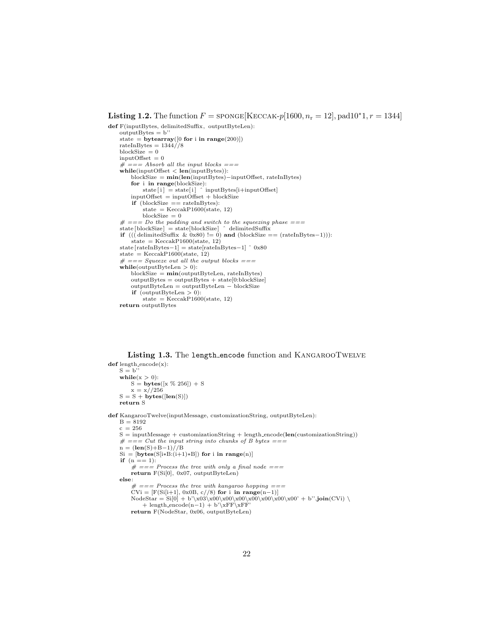#### <span id="page-21-0"></span>**Listing 1.2.** The function  $F =$  sponge[KECCAK-p[1600,  $n_r = 12$ ], pad10<sup>\*</sup>1,  $r = 1344$ ]

```
def F(inputBytes, delimitedSuffix , outputByteLen):
    outputBytes = b''
    state = bytearray([0 \text{ for } i \text{ in } range(200)])
    rateInBytes = 1344//8blockSize = 0inputOffset = 0# === Absorb all the input blocks ===
    \label{eq:while} \begin{aligned} \textbf{while}(\text{inputOffset} < \textbf{len}(\text{inputBytes})): \end{aligned}blockSize = min(len(inputBytes)−inputOffset, rateInBytes)
          for i in range(blockSize):<br>state[i] = state[i] ^ inputBytes[i+inputOffset]<br>inputOffset = inputOffset + blockSize
         if (blockSize == rateInBytes):
              state = \text{KeccakP1600}(\text{state}, 12)blockSize = 0# == Do the padding and switch to the squeezing phase ==state [blockSize] = state [blockSize] ^ delimitedSuffix<br>
if (((delimitedSuffix & 0x80) != 0) and (blockSize == (rateInBytes-1))):
         state = \text{KeccakP1600}(\text{state}, 12)state [rateInBytes−1] = state[rateInBytes−1] ˆ 0x80
    state = KeccakP1600(state, 12)# == Square out all the output blocks ==\textbf{while}(\text{outputByteLen} > 0):
         blockSize = min(outputByteLen, rateInBytes)outputBytes = outputBytes + state[0:blockSize]outputByteLen = outputByteLen − blockSize
         if (outputByteLen > 0):
              state = KeccakP1600(state, 12)return outputBytes
```
Listing 1.3. The length encode function and KANGAROOTWELVE

<span id="page-21-1"></span> $def length\_encode(x):$  $S = b$ " while $(x > 0)$ :  $S = \text{bytes}([x \ % 256]) + S$  $x = x//256$  $S = S + \text{bytes}(\text{len}(S))$ return S def KangarooTwelve(inputMessage, customizationString, outputByteLen):  $B = 8192$  $c = 256$  $S = inputMessage + customizationString + length.encode(len(customizationString))$  $# == Cut$  the input string into chunks of B bytes ===  $n = (\text{len}(S) + \text{B} - 1)/\text{/B}$  $Si = [bytes(S[i*B:(i+1)*B])$  for i in range(n)] **if**  $(n == 1)$ :<br>  $# == Process the tree with only a final node ==$ return F(Si[0], 0x07, outputByteLen) else:  $\# ==$  Process the tree with kangaroo hopping  $==$  $CVi = [F(Si[i+1], 0x0B, c // 8)$  for i in range(n-1)]<br>NodeStar = Si[0] + b'\x03\x00\x00\x00\x00\x00\x00\x00' + b''.join(CVi) \ + length\_encode(n-1) + b'\xFF\xFF' return F(NodeStar, 0x06, outputByteLen)